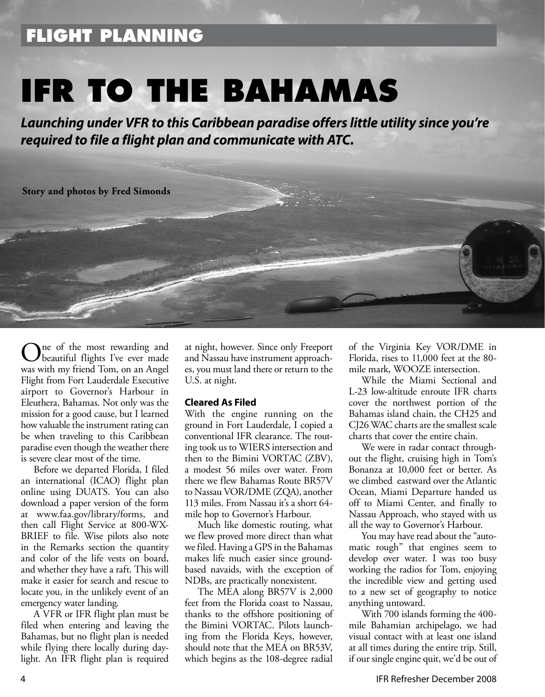## **FLIGHT PLANNING**

# **IFR TO THE BAHAMAS**

*Launching under VFR to this Caribbean paradise offers little utility since you're required to file a flight plan and communicate with ATC.* 

### **Story and photos by Fred Simonds**

 $\sum_{\text{h} \text{ count of } 1 \text{ or } 1}$ beautiful flights I've ever made was with my friend Tom, on an Angel Flight from Fort Lauderdale Executive airport to Governor's Harbour in Eleuthera, Bahamas. Not only was the mission for a good cause, but I learned how valuable the instrument rating can be when traveling to this Caribbean paradise even though the weather there is severe clear most of the time.

Before we departed Florida, I filed an international (ICAO) flight plan online using DUATS. You can also download a paper version of the form at www.faa.gov/library/forms, and then call Flight Service at 800-WX-BRIEF to file. Wise pilots also note in the Remarks section the quantity and color of the life vests on board, and whether they have a raft. This will make it easier for search and rescue to locate you, in the unlikely event of an emergency water landing.

A VFR or IFR flight plan must be filed when entering and leaving the Bahamas, but no flight plan is needed while flying there locally during daylight. An IFR flight plan is required

at night, however. Since only Freeport and Nassau have instrument approaches, you must land there or return to the U.S. at night.

### **Cleared As Filed**

With the engine running on the ground in Fort Lauderdale, I copied a conventional IFR clearance. The routing took us to WIERS intersection and then to the Bimini VORTAC (ZBV), a modest 56 miles over water. From there we flew Bahamas Route BR57V to Nassau VOR/DME (ZQA), another 113 miles. From Nassau it's a short 64 mile hop to Governor's Harbour.

Much like domestic routing, what we flew proved more direct than what we filed. Having a GPS in the Bahamas makes life much easier since groundbased navaids, with the exception of NDBs, are practically nonexistent.

The MEA along BR57V is 2,000 feet from the Florida coast to Nassau, thanks to the offshore positioning of the Bimini VORTAC. Pilots launching from the Florida Keys, however, should note that the MEA on BR53V, which begins as the 108-degree radial

of the Virginia Key VOR/DME in Florida, rises to 11,000 feet at the 80 mile mark, WOOZE intersection.

While the Miami Sectional and L-23 low-altitude enroute IFR charts cover the northwest portion of the Bahamas island chain, the CH25 and CJ26 WAC charts are the smallest scale charts that cover the entire chain.

We were in radar contact throughout the flight, cruising high in Tom's Bonanza at 10,000 feet or better. As we climbed eastward over the Atlantic Ocean, Miami Departure handed us off to Miami Center, and finally to Nassau Approach, who stayed with us all the way to Governor's Harbour.

You may have read about the "automatic rough" that engines seem to develop over water. I was too busy working the radios for Tom, enjoying the incredible view and getting used to a new set of geography to notice anything untoward.

With 700 islands forming the 400 mile Bahamian archipelago, we had visual contact with at least one island at all times during the entire trip. Still, if our single engine quit, we'd be out of